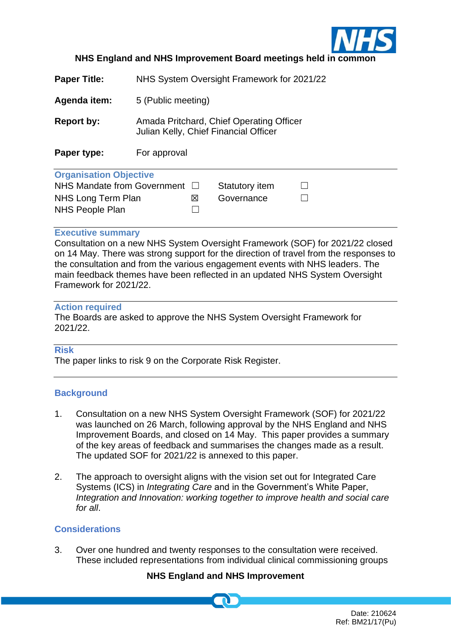

## **NHS England and NHS Improvement Board meetings held in commonly**

**Paper Title:** NHS System Oversight Framework for 2021/22

**Agenda item:** 5 (Public meeting)

**Report by:** Amada Pritchard, Chief Operating Officer Julian Kelly, Chief Financial Officer

**Paper type:** For approval

### **Organisation Objective**

| <b>Programoution Programoutive</b>    |     |                |  |
|---------------------------------------|-----|----------------|--|
| NHS Mandate from Government $\square$ |     | Statutory item |  |
| NHS Long Term Plan                    | IХI | Governance     |  |
| NHS People Plan                       |     |                |  |
|                                       |     |                |  |

### **Executive summary**

Consultation on a new NHS System Oversight Framework (SOF) for 2021/22 closed on 14 May. There was strong support for the direction of travel from the responses to the consultation and from the various engagement events with NHS leaders. The main feedback themes have been reflected in an updated NHS System Oversight Framework for 2021/22.

### **Action required**

The Boards are asked to approve the NHS System Oversight Framework for 2021/22.

## **Risk**

The paper links to risk 9 on the Corporate Risk Register.

## **Background**

- 1. Consultation on a new NHS System Oversight Framework (SOF) for 2021/22 was launched on 26 March, following approval by the NHS England and NHS Improvement Boards, and closed on 14 May. This paper provides a summary of the key areas of feedback and summarises the changes made as a result. The updated SOF for 2021/22 is annexed to this paper.
- 2. The approach to oversight aligns with the vision set out for Integrated Care Systems (ICS) in *Integrating Care* and in the Government's White Paper, *Integration and Innovation: working together to improve health and social care for all*.

## **Considerations**

3. Over one hundred and twenty responses to the consultation were received. These included representations from individual clinical commissioning groups

# **NHS England and NHS Improvement**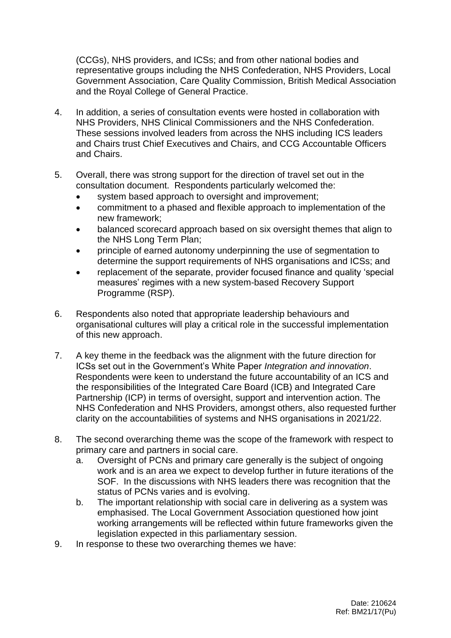(CCGs), NHS providers, and ICSs; and from other national bodies and representative groups including the NHS Confederation, NHS Providers, Local Government Association, Care Quality Commission, British Medical Association and the Royal College of General Practice.

- 4. In addition, a series of consultation events were hosted in collaboration with NHS Providers, NHS Clinical Commissioners and the NHS Confederation. These sessions involved leaders from across the NHS including ICS leaders and Chairs trust Chief Executives and Chairs, and CCG Accountable Officers and Chairs.
- 5. Overall, there was strong support for the direction of travel set out in the consultation document. Respondents particularly welcomed the:
	- system based approach to oversight and improvement;
	- commitment to a phased and flexible approach to implementation of the new framework;
	- balanced scorecard approach based on six oversight themes that align to the NHS Long Term Plan;
	- principle of earned autonomy underpinning the use of segmentation to determine the support requirements of NHS organisations and ICSs; and
	- replacement of the separate, provider focused finance and quality 'special measures' regimes with a new system-based Recovery Support Programme (RSP).
- 6. Respondents also noted that appropriate leadership behaviours and organisational cultures will play a critical role in the successful implementation of this new approach.
- 7. A key theme in the feedback was the alignment with the future direction for ICSs set out in the Government's White Paper *Integration and innovation*. Respondents were keen to understand the future accountability of an ICS and the responsibilities of the Integrated Care Board (ICB) and Integrated Care Partnership (ICP) in terms of oversight, support and intervention action. The NHS Confederation and NHS Providers, amongst others, also requested further clarity on the accountabilities of systems and NHS organisations in 2021/22.
- 8. The second overarching theme was the scope of the framework with respect to primary care and partners in social care.
	- a. Oversight of PCNs and primary care generally is the subject of ongoing work and is an area we expect to develop further in future iterations of the SOF. In the discussions with NHS leaders there was recognition that the status of PCNs varies and is evolving.
	- b. The important relationship with social care in delivering as a system was emphasised. The Local Government Association questioned how joint working arrangements will be reflected within future frameworks given the legislation expected in this parliamentary session.
- 9. In response to these two overarching themes we have: